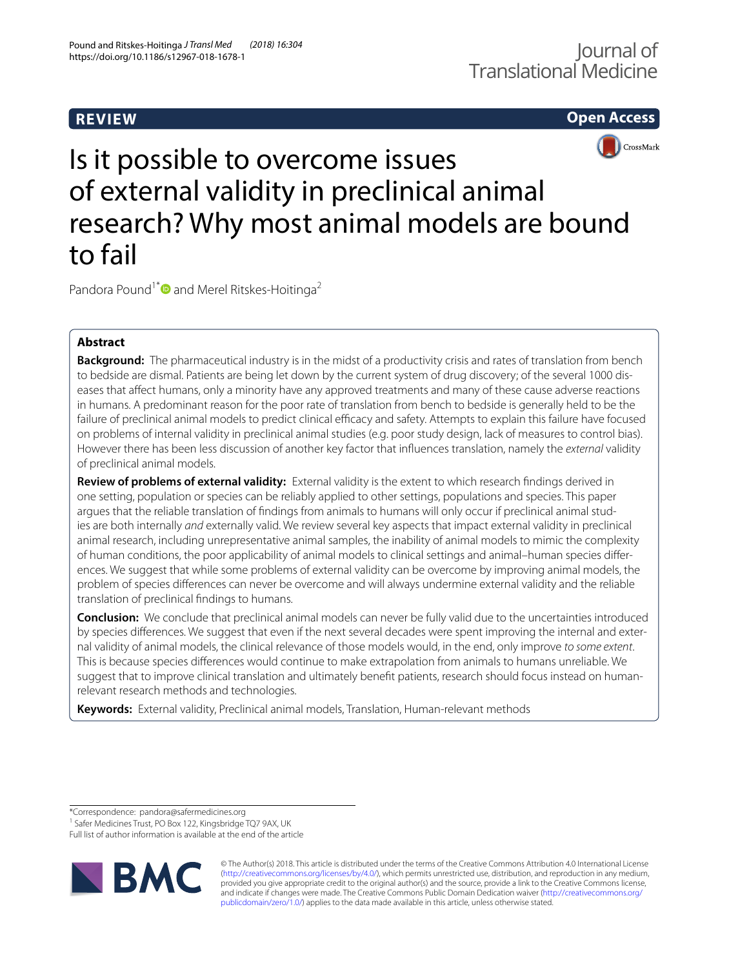## **REVIEW**



# **CrossMark** Is it possible to overcome issues of external validity in preclinical animal research? Why most animal models are bound to fail

Pandora Pound<sup>1\*</sup> and Merel Ritskes-Hoitinga<sup>2</sup>

## **Abstract**

**Background:** The pharmaceutical industry is in the midst of a productivity crisis and rates of translation from bench to bedside are dismal. Patients are being let down by the current system of drug discovery; of the several 1000 diseases that afect humans, only a minority have any approved treatments and many of these cause adverse reactions in humans. A predominant reason for the poor rate of translation from bench to bedside is generally held to be the failure of preclinical animal models to predict clinical efficacy and safety. Attempts to explain this failure have focused on problems of internal validity in preclinical animal studies (e.g. poor study design, lack of measures to control bias). However there has been less discussion of another key factor that infuences translation, namely the *external* validity of preclinical animal models.

**Review of problems of external validity:** External validity is the extent to which research fndings derived in one setting, population or species can be reliably applied to other settings, populations and species. This paper argues that the reliable translation of findings from animals to humans will only occur if preclinical animal studies are both internally *and* externally valid. We review several key aspects that impact external validity in preclinical animal research, including unrepresentative animal samples, the inability of animal models to mimic the complexity of human conditions, the poor applicability of animal models to clinical settings and animal–human species differences. We suggest that while some problems of external validity can be overcome by improving animal models, the problem of species diferences can never be overcome and will always undermine external validity and the reliable translation of preclinical fndings to humans.

**Conclusion:** We conclude that preclinical animal models can never be fully valid due to the uncertainties introduced by species differences. We suggest that even if the next several decades were spent improving the internal and external validity of animal models, the clinical relevance of those models would, in the end, only improve *to some extent*. This is because species diferences would continue to make extrapolation from animals to humans unreliable. We suggest that to improve clinical translation and ultimately beneft patients, research should focus instead on humanrelevant research methods and technologies.

**Keywords:** External validity, Preclinical animal models, Translation, Human-relevant methods

\*Correspondence: pandora@safermedicines.org

<sup>1</sup> Safer Medicines Trust, PO Box 122, Kingsbridge TQ7 9AX, UK

Full list of author information is available at the end of the article



© The Author(s) 2018. This article is distributed under the terms of the Creative Commons Attribution 4.0 International License [\(http://creativecommons.org/licenses/by/4.0/\)](http://creativecommons.org/licenses/by/4.0/), which permits unrestricted use, distribution, and reproduction in any medium, provided you give appropriate credit to the original author(s) and the source, provide a link to the Creative Commons license, and indicate if changes were made. The Creative Commons Public Domain Dedication waiver ([http://creativecommons.org/](http://creativecommons.org/publicdomain/zero/1.0/) [publicdomain/zero/1.0/](http://creativecommons.org/publicdomain/zero/1.0/)) applies to the data made available in this article, unless otherwise stated.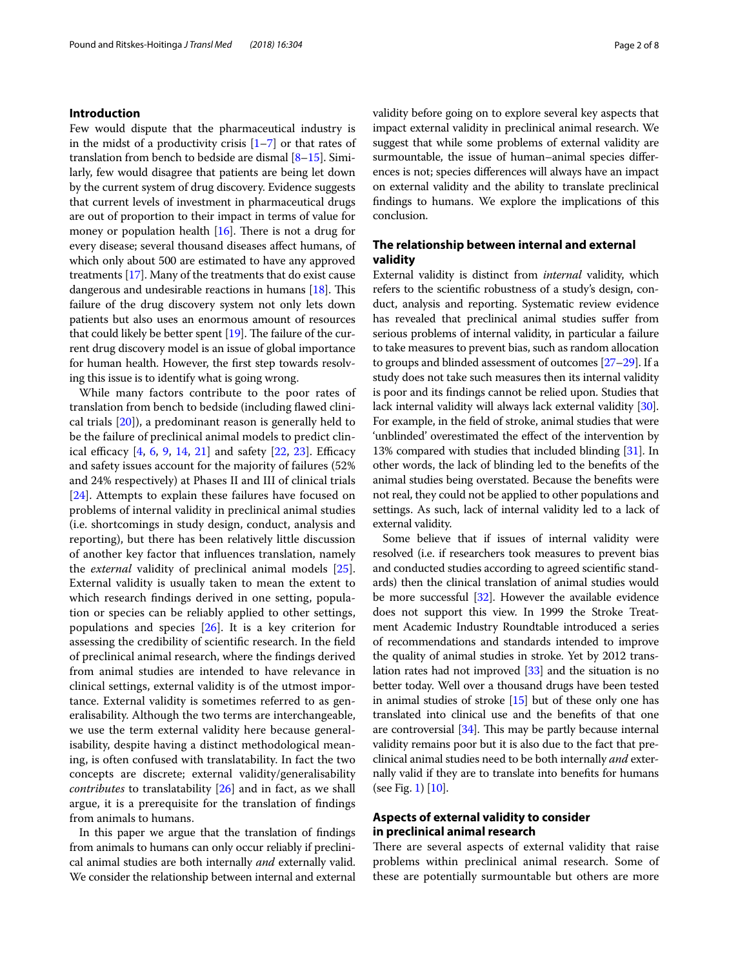## **Introduction**

Few would dispute that the pharmaceutical industry is in the midst of a productivity crisis  $[1-7]$  $[1-7]$  $[1-7]$  or that rates of translation from bench to bedside are dismal [\[8–](#page-5-2)[15](#page-6-0)]. Similarly, few would disagree that patients are being let down by the current system of drug discovery. Evidence suggests that current levels of investment in pharmaceutical drugs are out of proportion to their impact in terms of value for money or population health  $[16]$ . There is not a drug for every disease; several thousand diseases afect humans, of which only about 500 are estimated to have any approved treatments [\[17\]](#page-6-2). Many of the treatments that do exist cause dangerous and undesirable reactions in humans  $[18]$  $[18]$  $[18]$ . This failure of the drug discovery system not only lets down patients but also uses an enormous amount of resources that could likely be better spent  $[19]$  $[19]$ . The failure of the current drug discovery model is an issue of global importance for human health. However, the frst step towards resolving this issue is to identify what is going wrong.

While many factors contribute to the poor rates of translation from bench to bedside (including fawed clinical trials [[20\]](#page-6-5)), a predominant reason is generally held to be the failure of preclinical animal models to predict clinical efficacy  $[4, 6, 9, 14, 21]$  $[4, 6, 9, 14, 21]$  $[4, 6, 9, 14, 21]$  $[4, 6, 9, 14, 21]$  $[4, 6, 9, 14, 21]$  $[4, 6, 9, 14, 21]$  $[4, 6, 9, 14, 21]$  $[4, 6, 9, 14, 21]$  $[4, 6, 9, 14, 21]$  $[4, 6, 9, 14, 21]$  $[4, 6, 9, 14, 21]$  and safety  $[22, 23]$  $[22, 23]$  $[22, 23]$ . Efficacy and safety issues account for the majority of failures (52% and 24% respectively) at Phases II and III of clinical trials [[24\]](#page-6-10). Attempts to explain these failures have focused on problems of internal validity in preclinical animal studies (i.e. shortcomings in study design, conduct, analysis and reporting), but there has been relatively little discussion of another key factor that infuences translation, namely the *external* validity of preclinical animal models [\[25](#page-6-11)]. External validity is usually taken to mean the extent to which research fndings derived in one setting, population or species can be reliably applied to other settings, populations and species [\[26](#page-6-12)]. It is a key criterion for assessing the credibility of scientifc research. In the feld of preclinical animal research, where the fndings derived from animal studies are intended to have relevance in clinical settings, external validity is of the utmost importance. External validity is sometimes referred to as generalisability. Although the two terms are interchangeable, we use the term external validity here because generalisability, despite having a distinct methodological meaning, is often confused with translatability. In fact the two concepts are discrete; external validity/generalisability *contributes* to translatability [\[26\]](#page-6-12) and in fact, as we shall argue, it is a prerequisite for the translation of fndings from animals to humans.

In this paper we argue that the translation of fndings from animals to humans can only occur reliably if preclinical animal studies are both internally *and* externally valid. We consider the relationship between internal and external validity before going on to explore several key aspects that impact external validity in preclinical animal research. We suggest that while some problems of external validity are surmountable, the issue of human–animal species diferences is not; species diferences will always have an impact on external validity and the ability to translate preclinical fndings to humans. We explore the implications of this conclusion.

## **The relationship between internal and external validity**

External validity is distinct from *internal* validity, which refers to the scientifc robustness of a study's design, conduct, analysis and reporting. Systematic review evidence has revealed that preclinical animal studies sufer from serious problems of internal validity, in particular a failure to take measures to prevent bias, such as random allocation to groups and blinded assessment of outcomes [[27](#page-6-13)[–29\]](#page-6-14). If a study does not take such measures then its internal validity is poor and its fndings cannot be relied upon. Studies that lack internal validity will always lack external validity [[30](#page-6-15)]. For example, in the feld of stroke, animal studies that were 'unblinded' overestimated the efect of the intervention by 13% compared with studies that included blinding [\[31\]](#page-6-16). In other words, the lack of blinding led to the benefts of the animal studies being overstated. Because the benefts were not real, they could not be applied to other populations and settings. As such, lack of internal validity led to a lack of external validity.

Some believe that if issues of internal validity were resolved (i.e. if researchers took measures to prevent bias and conducted studies according to agreed scientifc standards) then the clinical translation of animal studies would be more successful [\[32\]](#page-6-17). However the available evidence does not support this view. In 1999 the Stroke Treatment Academic Industry Roundtable introduced a series of recommendations and standards intended to improve the quality of animal studies in stroke. Yet by 2012 translation rates had not improved [[33](#page-6-18)] and the situation is no better today. Well over a thousand drugs have been tested in animal studies of stroke [\[15](#page-6-0)] but of these only one has translated into clinical use and the benefts of that one are controversial  $[34]$ . This may be partly because internal validity remains poor but it is also due to the fact that preclinical animal studies need to be both internally *and* externally valid if they are to translate into benefts for humans (see Fig. [1\)](#page-2-0) [\[10](#page-5-6)].

## **Aspects of external validity to consider in preclinical animal research**

There are several aspects of external validity that raise problems within preclinical animal research. Some of these are potentially surmountable but others are more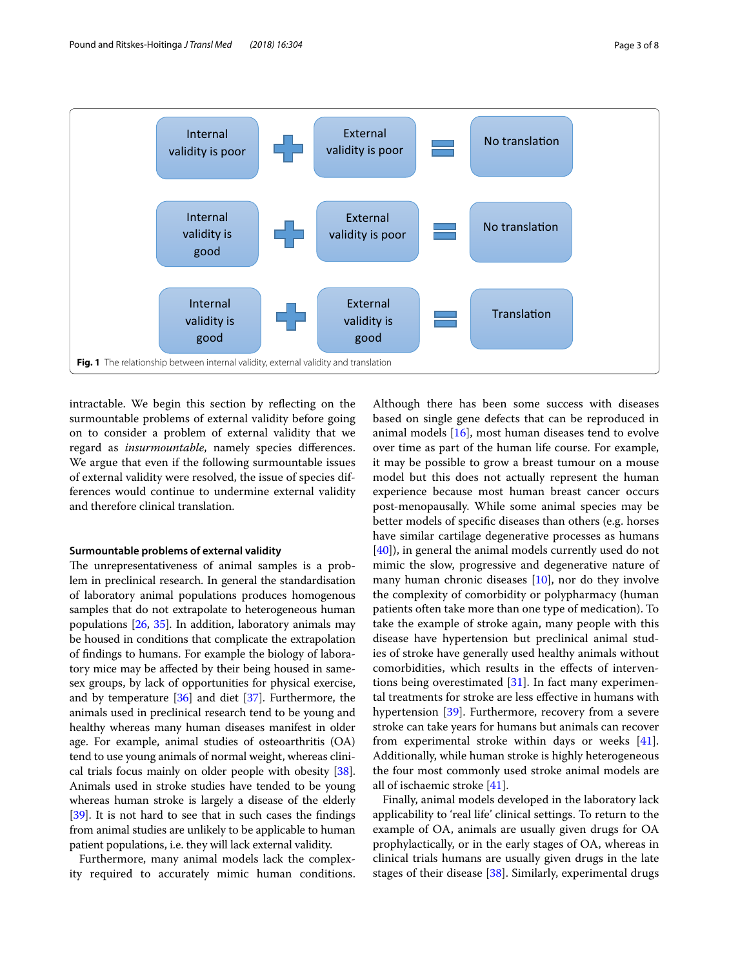

<span id="page-2-0"></span>intractable. We begin this section by refecting on the surmountable problems of external validity before going on to consider a problem of external validity that we regard as *insurmountable*, namely species diferences. We argue that even if the following surmountable issues of external validity were resolved, the issue of species differences would continue to undermine external validity and therefore clinical translation.

#### **Surmountable problems of external validity**

The unrepresentativeness of animal samples is a problem in preclinical research. In general the standardisation of laboratory animal populations produces homogenous samples that do not extrapolate to heterogeneous human populations [\[26](#page-6-12), [35](#page-6-20)]. In addition, laboratory animals may be housed in conditions that complicate the extrapolation of fndings to humans. For example the biology of laboratory mice may be afected by their being housed in samesex groups, by lack of opportunities for physical exercise, and by temperature [[36](#page-6-21)] and diet [[37](#page-6-22)]. Furthermore, the animals used in preclinical research tend to be young and healthy whereas many human diseases manifest in older age. For example, animal studies of osteoarthritis (OA) tend to use young animals of normal weight, whereas clinical trials focus mainly on older people with obesity [[38](#page-6-23)]. Animals used in stroke studies have tended to be young whereas human stroke is largely a disease of the elderly [[39](#page-6-24)]. It is not hard to see that in such cases the fndings from animal studies are unlikely to be applicable to human patient populations, i.e. they will lack external validity.

Furthermore, many animal models lack the complexity required to accurately mimic human conditions. Although there has been some success with diseases based on single gene defects that can be reproduced in animal models [\[16\]](#page-6-1), most human diseases tend to evolve over time as part of the human life course. For example, it may be possible to grow a breast tumour on a mouse model but this does not actually represent the human experience because most human breast cancer occurs post-menopausally. While some animal species may be better models of specifc diseases than others (e.g. horses have similar cartilage degenerative processes as humans [[40\]](#page-6-25)), in general the animal models currently used do not mimic the slow, progressive and degenerative nature of many human chronic diseases [[10](#page-5-6)], nor do they involve the complexity of comorbidity or polypharmacy (human patients often take more than one type of medication). To take the example of stroke again, many people with this disease have hypertension but preclinical animal studies of stroke have generally used healthy animals without comorbidities, which results in the efects of interventions being overestimated [[31](#page-6-16)]. In fact many experimental treatments for stroke are less efective in humans with hypertension [\[39](#page-6-24)]. Furthermore, recovery from a severe stroke can take years for humans but animals can recover from experimental stroke within days or weeks [\[41](#page-6-26)]. Additionally, while human stroke is highly heterogeneous the four most commonly used stroke animal models are all of ischaemic stroke [[41](#page-6-26)].

Finally, animal models developed in the laboratory lack applicability to 'real life' clinical settings. To return to the example of OA, animals are usually given drugs for OA prophylactically, or in the early stages of OA, whereas in clinical trials humans are usually given drugs in the late stages of their disease [\[38](#page-6-23)]. Similarly, experimental drugs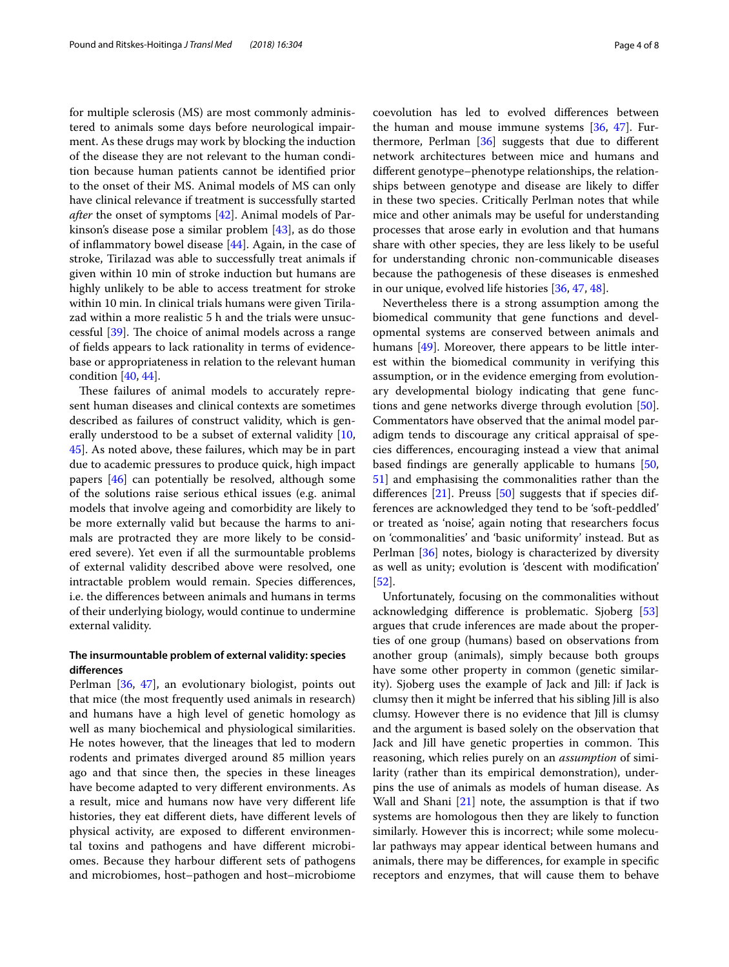for multiple sclerosis (MS) are most commonly administered to animals some days before neurological impairment. As these drugs may work by blocking the induction of the disease they are not relevant to the human condition because human patients cannot be identifed prior to the onset of their MS. Animal models of MS can only have clinical relevance if treatment is successfully started *after* the onset of symptoms [[42\]](#page-6-27). Animal models of Parkinson's disease pose a similar problem [\[43](#page-6-28)], as do those of infammatory bowel disease [\[44](#page-6-29)]. Again, in the case of stroke, Tirilazad was able to successfully treat animals if given within 10 min of stroke induction but humans are highly unlikely to be able to access treatment for stroke within 10 min. In clinical trials humans were given Tirilazad within a more realistic 5 h and the trials were unsuc-cessful [\[39](#page-6-24)]. The choice of animal models across a range of felds appears to lack rationality in terms of evidencebase or appropriateness in relation to the relevant human condition  $[40, 44]$  $[40, 44]$  $[40, 44]$  $[40, 44]$ .

These failures of animal models to accurately represent human diseases and clinical contexts are sometimes described as failures of construct validity, which is generally understood to be a subset of external validity [\[10](#page-5-6), [45\]](#page-6-30). As noted above, these failures, which may be in part due to academic pressures to produce quick, high impact papers [\[46\]](#page-6-31) can potentially be resolved, although some of the solutions raise serious ethical issues (e.g. animal models that involve ageing and comorbidity are likely to be more externally valid but because the harms to animals are protracted they are more likely to be considered severe). Yet even if all the surmountable problems of external validity described above were resolved, one intractable problem would remain. Species diferences, i.e. the diferences between animals and humans in terms of their underlying biology, would continue to undermine external validity.

### **The insurmountable problem of external validity: species diferences**

Perlman [\[36](#page-6-21), [47\]](#page-6-32), an evolutionary biologist, points out that mice (the most frequently used animals in research) and humans have a high level of genetic homology as well as many biochemical and physiological similarities. He notes however, that the lineages that led to modern rodents and primates diverged around 85 million years ago and that since then, the species in these lineages have become adapted to very diferent environments. As a result, mice and humans now have very diferent life histories, they eat diferent diets, have diferent levels of physical activity, are exposed to diferent environmental toxins and pathogens and have diferent microbiomes. Because they harbour diferent sets of pathogens and microbiomes, host–pathogen and host–microbiome coevolution has led to evolved diferences between the human and mouse immune systems [\[36,](#page-6-21) [47](#page-6-32)]. Furthermore, Perlman  $[36]$  $[36]$  $[36]$  suggests that due to different network architectures between mice and humans and diferent genotype–phenotype relationships, the relationships between genotype and disease are likely to difer in these two species. Critically Perlman notes that while mice and other animals may be useful for understanding processes that arose early in evolution and that humans share with other species, they are less likely to be useful for understanding chronic non-communicable diseases because the pathogenesis of these diseases is enmeshed in our unique, evolved life histories [\[36](#page-6-21), [47,](#page-6-32) [48](#page-6-33)].

Nevertheless there is a strong assumption among the biomedical community that gene functions and developmental systems are conserved between animals and humans [\[49\]](#page-6-34). Moreover, there appears to be little interest within the biomedical community in verifying this assumption, or in the evidence emerging from evolutionary developmental biology indicating that gene functions and gene networks diverge through evolution [\[50](#page-6-35)]. Commentators have observed that the animal model paradigm tends to discourage any critical appraisal of species diferences, encouraging instead a view that animal based fndings are generally applicable to humans [[50](#page-6-35), [51\]](#page-6-36) and emphasising the commonalities rather than the differences  $[21]$  $[21]$ . Preuss  $[50]$  suggests that if species differences are acknowledged they tend to be 'soft-peddled' or treated as 'noise', again noting that researchers focus on 'commonalities' and 'basic uniformity' instead. But as Perlman [\[36](#page-6-21)] notes, biology is characterized by diversity as well as unity; evolution is 'descent with modifcation' [[52\]](#page-6-37).

Unfortunately, focusing on the commonalities without acknowledging diference is problematic. Sjoberg [[53](#page-6-38)] argues that crude inferences are made about the properties of one group (humans) based on observations from another group (animals), simply because both groups have some other property in common (genetic similarity). Sjoberg uses the example of Jack and Jill: if Jack is clumsy then it might be inferred that his sibling Jill is also clumsy. However there is no evidence that Jill is clumsy and the argument is based solely on the observation that Jack and Jill have genetic properties in common. This reasoning, which relies purely on an *assumption* of similarity (rather than its empirical demonstration), underpins the use of animals as models of human disease. As Wall and Shani [[21\]](#page-6-7) note, the assumption is that if two systems are homologous then they are likely to function similarly. However this is incorrect; while some molecular pathways may appear identical between humans and animals, there may be diferences, for example in specifc receptors and enzymes, that will cause them to behave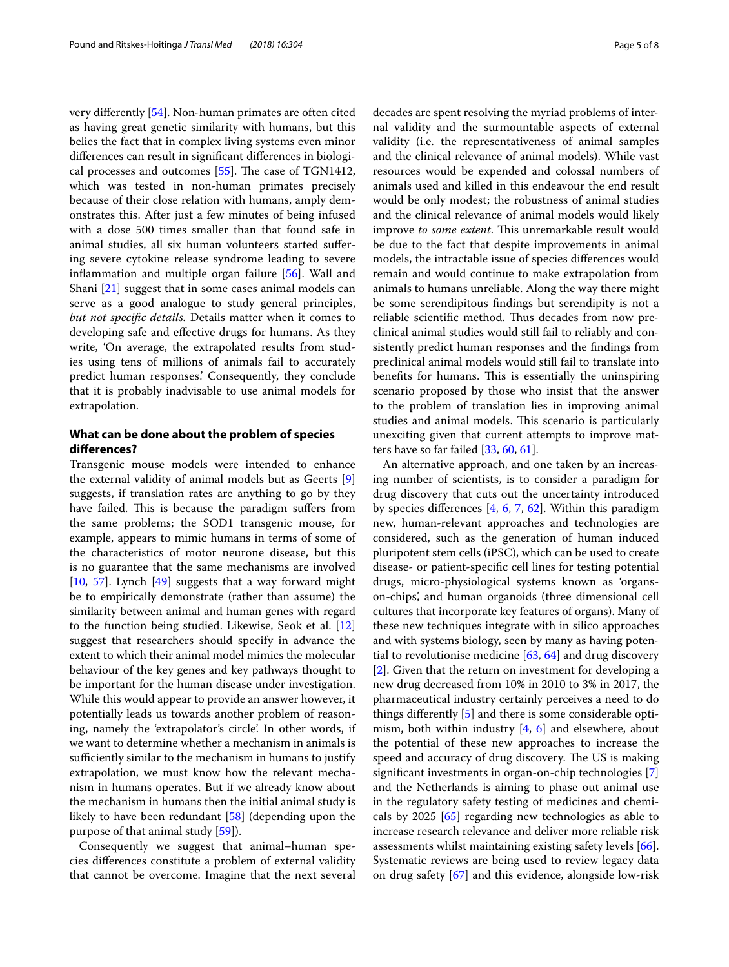very diferently [[54\]](#page-6-39). Non-human primates are often cited as having great genetic similarity with humans, but this belies the fact that in complex living systems even minor diferences can result in signifcant diferences in biologi-cal processes and outcomes [\[55](#page-6-40)]. The case of TGN1412, which was tested in non-human primates precisely because of their close relation with humans, amply demonstrates this. After just a few minutes of being infused with a dose 500 times smaller than that found safe in animal studies, all six human volunteers started sufering severe cytokine release syndrome leading to severe infammation and multiple organ failure [\[56](#page-6-41)]. Wall and Shani [[21\]](#page-6-7) suggest that in some cases animal models can serve as a good analogue to study general principles, *but not specifc details.* Details matter when it comes to developing safe and efective drugs for humans. As they write, 'On average, the extrapolated results from studies using tens of millions of animals fail to accurately predict human responses.' Consequently, they conclude that it is probably inadvisable to use animal models for extrapolation.

## **What can be done about the problem of species diferences?**

Transgenic mouse models were intended to enhance the external validity of animal models but as Geerts [\[9](#page-5-5)] suggests, if translation rates are anything to go by they have failed. This is because the paradigm suffers from the same problems; the SOD1 transgenic mouse, for example, appears to mimic humans in terms of some of the characteristics of motor neurone disease, but this is no guarantee that the same mechanisms are involved  $[10, 57]$  $[10, 57]$  $[10, 57]$  $[10, 57]$ . Lynch  $[49]$  suggests that a way forward might be to empirically demonstrate (rather than assume) the similarity between animal and human genes with regard to the function being studied. Likewise, Seok et al. [[12](#page-6-43)] suggest that researchers should specify in advance the extent to which their animal model mimics the molecular behaviour of the key genes and key pathways thought to be important for the human disease under investigation. While this would appear to provide an answer however, it potentially leads us towards another problem of reasoning, namely the 'extrapolator's circle'. In other words, if we want to determine whether a mechanism in animals is sufficiently similar to the mechanism in humans to justify extrapolation, we must know how the relevant mechanism in humans operates. But if we already know about the mechanism in humans then the initial animal study is likely to have been redundant [\[58](#page-6-44)] (depending upon the purpose of that animal study [[59\]](#page-6-45)).

Consequently we suggest that animal–human species diferences constitute a problem of external validity that cannot be overcome. Imagine that the next several decades are spent resolving the myriad problems of internal validity and the surmountable aspects of external validity (i.e. the representativeness of animal samples and the clinical relevance of animal models). While vast resources would be expended and colossal numbers of animals used and killed in this endeavour the end result would be only modest; the robustness of animal studies and the clinical relevance of animal models would likely improve *to some extent*. This unremarkable result would be due to the fact that despite improvements in animal models, the intractable issue of species diferences would remain and would continue to make extrapolation from animals to humans unreliable. Along the way there might be some serendipitous fndings but serendipity is not a reliable scientific method. Thus decades from now preclinical animal studies would still fail to reliably and consistently predict human responses and the fndings from preclinical animal models would still fail to translate into benefits for humans. This is essentially the uninspiring scenario proposed by those who insist that the answer to the problem of translation lies in improving animal studies and animal models. This scenario is particularly unexciting given that current attempts to improve matters have so far failed [\[33,](#page-6-18) [60](#page-6-46), [61\]](#page-6-47).

An alternative approach, and one taken by an increasing number of scientists, is to consider a paradigm for drug discovery that cuts out the uncertainty introduced by species diferences [\[4](#page-5-3), [6,](#page-5-4) [7,](#page-5-1) [62\]](#page-6-48). Within this paradigm new, human-relevant approaches and technologies are considered, such as the generation of human induced pluripotent stem cells (iPSC), which can be used to create disease- or patient-specifc cell lines for testing potential drugs, micro-physiological systems known as 'organson-chips', and human organoids (three dimensional cell cultures that incorporate key features of organs). Many of these new techniques integrate with in silico approaches and with systems biology, seen by many as having potential to revolutionise medicine [\[63](#page-7-0), [64\]](#page-7-1) and drug discovery [[2\]](#page-5-7). Given that the return on investment for developing a new drug decreased from 10% in 2010 to 3% in 2017, the pharmaceutical industry certainly perceives a need to do things diferently [[5\]](#page-5-8) and there is some considerable optimism, both within industry [\[4](#page-5-3), [6](#page-5-4)] and elsewhere, about the potential of these new approaches to increase the speed and accuracy of drug discovery. The US is making signifcant investments in organ-on-chip technologies [\[7](#page-5-1)] and the Netherlands is aiming to phase out animal use in the regulatory safety testing of medicines and chemicals by 2025 [\[65](#page-7-2)] regarding new technologies as able to increase research relevance and deliver more reliable risk assessments whilst maintaining existing safety levels [\[66](#page-7-3)]. Systematic reviews are being used to review legacy data on drug safety [\[67\]](#page-7-4) and this evidence, alongside low-risk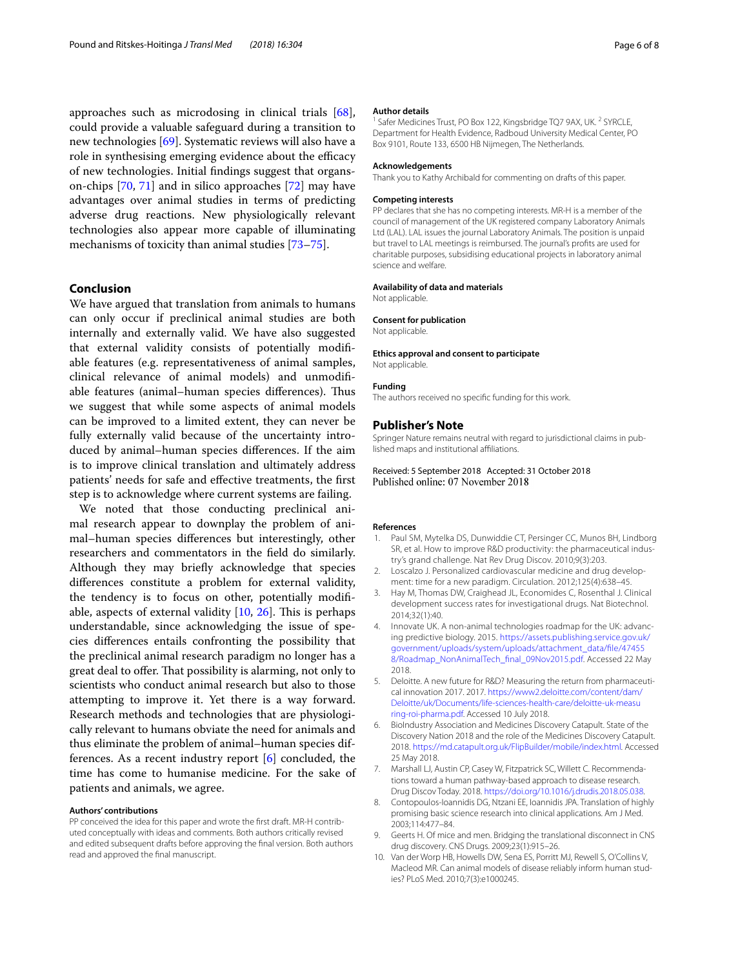approaches such as microdosing in clinical trials [\[68](#page-7-5)], could provide a valuable safeguard during a transition to new technologies [\[69\]](#page-7-6). Systematic reviews will also have a role in synthesising emerging evidence about the efficacy of new technologies. Initial fndings suggest that organson-chips [[70](#page-7-7), [71\]](#page-7-8) and in silico approaches [[72\]](#page-7-9) may have advantages over animal studies in terms of predicting adverse drug reactions. New physiologically relevant technologies also appear more capable of illuminating mechanisms of toxicity than animal studies [\[73–](#page-7-10)[75\]](#page-7-11).

#### **Conclusion**

We have argued that translation from animals to humans can only occur if preclinical animal studies are both internally and externally valid. We have also suggested that external validity consists of potentially modifable features (e.g. representativeness of animal samples, clinical relevance of animal models) and unmodifable features (animal–human species differences). Thus we suggest that while some aspects of animal models can be improved to a limited extent, they can never be fully externally valid because of the uncertainty introduced by animal–human species diferences. If the aim is to improve clinical translation and ultimately address patients' needs for safe and efective treatments, the frst step is to acknowledge where current systems are failing.

We noted that those conducting preclinical animal research appear to downplay the problem of animal–human species diferences but interestingly, other researchers and commentators in the feld do similarly. Although they may briefy acknowledge that species diferences constitute a problem for external validity, the tendency is to focus on other, potentially modifable, aspects of external validity  $[10, 26]$  $[10, 26]$  $[10, 26]$  $[10, 26]$ . This is perhaps understandable, since acknowledging the issue of species diferences entails confronting the possibility that the preclinical animal research paradigm no longer has a great deal to offer. That possibility is alarming, not only to scientists who conduct animal research but also to those attempting to improve it. Yet there is a way forward. Research methods and technologies that are physiologically relevant to humans obviate the need for animals and thus eliminate the problem of animal–human species differences. As a recent industry report [[6\]](#page-5-4) concluded, the time has come to humanise medicine. For the sake of patients and animals, we agree.

#### **Authors' contributions**

PP conceived the idea for this paper and wrote the first draft. MR-H contributed conceptually with ideas and comments. Both authors critically revised and edited subsequent drafts before approving the fnal version. Both authors read and approved the fnal manuscript.

#### **Author details**

Safer Medicines Trust, PO Box 122, Kingsbridge TQ7 9AX, UK. <sup>2</sup> SYRCLE, Department for Health Evidence, Radboud University Medical Center, PO Box 9101, Route 133, 6500 HB Nijmegen, The Netherlands.

#### **Acknowledgements**

Thank you to Kathy Archibald for commenting on drafts of this paper.

#### **Competing interests**

PP declares that she has no competing interests. MR-H is a member of the council of management of the UK registered company Laboratory Animals Ltd (LAL). LAL issues the journal Laboratory Animals. The position is unpaid but travel to LAL meetings is reimbursed. The journal's profts are used for charitable purposes, subsidising educational projects in laboratory animal science and welfare.

**Availability of data and materials**

Not applicable.

#### **Consent for publication**

Not applicable.

**Ethics approval and consent to participate** Not applicable.

#### **Funding**

The authors received no specifc funding for this work.

#### **Publisher's Note**

Springer Nature remains neutral with regard to jurisdictional claims in published maps and institutional afliations.

Received: 5 September 2018 Accepted: 31 October 2018 Published online: 07 November 2018

#### **References**

- <span id="page-5-0"></span>Paul SM, Mytelka DS, Dunwiddie CT, Persinger CC, Munos BH, Lindborg SR, et al. How to improve R&D productivity: the pharmaceutical industry's grand challenge. Nat Rev Drug Discov. 2010;9(3):203.
- <span id="page-5-7"></span>2. Loscalzo J. Personalized cardiovascular medicine and drug development: time for a new paradigm. Circulation. 2012;125(4):638–45.
- 3. Hay M, Thomas DW, Craighead JL, Economides C, Rosenthal J. Clinical development success rates for investigational drugs. Nat Biotechnol. 2014;32(1):40.
- <span id="page-5-3"></span>4. Innovate UK. A non-animal technologies roadmap for the UK: advancing predictive biology. 2015. [https://assets.publishing.service.gov.uk/](https://assets.publishing.service.gov.uk/government/uploads/system/uploads/attachment_data/file/474558/Roadmap_NonAnimalTech_final_09Nov2015.pdf) [government/uploads/system/uploads/attachment\\_data/fle/47455](https://assets.publishing.service.gov.uk/government/uploads/system/uploads/attachment_data/file/474558/Roadmap_NonAnimalTech_final_09Nov2015.pdf) [8/Roadmap\\_NonAnimalTech\\_fnal\\_09Nov2015.pdf.](https://assets.publishing.service.gov.uk/government/uploads/system/uploads/attachment_data/file/474558/Roadmap_NonAnimalTech_final_09Nov2015.pdf) Accessed 22 May 2018.
- <span id="page-5-8"></span>5. Deloitte. A new future for R&D? Measuring the return from pharmaceutical innovation 2017. 2017. [https://www2.deloitte.com/content/dam/](https://www2.deloitte.com/content/dam/Deloitte/uk/Documents/life-sciences-health-care/deloitte-uk-measuring-roi-pharma.pdf) [Deloitte/uk/Documents/life-sciences-health-care/deloitte-uk-measu](https://www2.deloitte.com/content/dam/Deloitte/uk/Documents/life-sciences-health-care/deloitte-uk-measuring-roi-pharma.pdf) [ring-roi-pharma.pdf](https://www2.deloitte.com/content/dam/Deloitte/uk/Documents/life-sciences-health-care/deloitte-uk-measuring-roi-pharma.pdf). Accessed 10 July 2018.
- <span id="page-5-4"></span>6. BioIndustry Association and Medicines Discovery Catapult. State of the Discovery Nation 2018 and the role of the Medicines Discovery Catapult. 2018. [https://md.catapult.org.uk/FlipBuilder/mobile/index.html.](https://md.catapult.org.uk/FlipBuilder/mobile/index.html) Accessed 25 May 2018.
- <span id="page-5-1"></span>7. Marshall LJ, Austin CP, Casey W, Fitzpatrick SC, Willett C. Recommendations toward a human pathway-based approach to disease research. Drug Discov Today. 2018. [https://doi.org/10.1016/j.drudis.2018.05.038.](https://doi.org/10.1016/j.drudis.2018.05.038)
- <span id="page-5-2"></span>8. Contopoulos-Ioannidis DG, Ntzani EE, Ioannidis JPA. Translation of highly promising basic science research into clinical applications. Am J Med. 2003;114:477–84.
- <span id="page-5-5"></span>9. Geerts H. Of mice and men. Bridging the translational disconnect in CNS drug discovery. CNS Drugs. 2009;23(1):915–26.
- <span id="page-5-6"></span>10. Van der Worp HB, Howells DW, Sena ES, Porritt MJ, Rewell S, O'Collins V, Macleod MR. Can animal models of disease reliably inform human studies? PLoS Med. 2010;7(3):e1000245.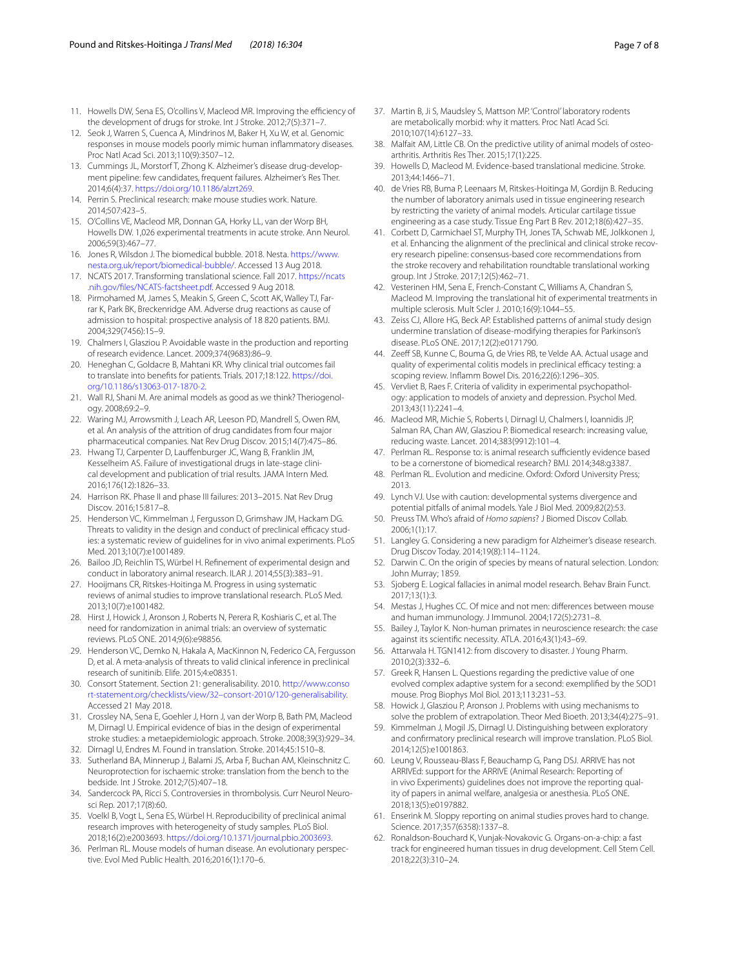- 11. Howells DW, Sena ES, O'collins V, Macleod MR. Improving the efficiency of the development of drugs for stroke. Int J Stroke. 2012;7(5):371–7.
- <span id="page-6-43"></span>12. Seok J, Warren S, Cuenca A, Mindrinos M, Baker H, Xu W, et al. Genomic responses in mouse models poorly mimic human infammatory diseases. Proc Natl Acad Sci. 2013;110(9):3507–12.
- 13. Cummings JL, Morstorf T, Zhong K. Alzheimer's disease drug-development pipeline: few candidates, frequent failures. Alzheimer's Res Ther. 2014;6(4):37. <https://doi.org/10.1186/alzrt269>.
- <span id="page-6-6"></span>14. Perrin S. Preclinical research: make mouse studies work. Nature. 2014;507:423–5.
- <span id="page-6-0"></span>15. O'Collins VE, Macleod MR, Donnan GA, Horky LL, van der Worp BH, Howells DW. 1,026 experimental treatments in acute stroke. Ann Neurol. 2006;59(3):467–77.
- <span id="page-6-1"></span>16. Jones R, Wilsdon J. The biomedical bubble. 2018. Nesta. [https://www.](https://www.nesta.org.uk/report/biomedical-bubble/) [nesta.org.uk/report/biomedical-bubble/.](https://www.nesta.org.uk/report/biomedical-bubble/) Accessed 13 Aug 2018.
- <span id="page-6-2"></span>17. NCATS 2017. Transforming translational science. Fall 2017. [https://ncats](https://ncats.nih.gov/files/NCATS-factsheet.pdf) [.nih.gov/fles/NCATS-factsheet.pdf](https://ncats.nih.gov/files/NCATS-factsheet.pdf). Accessed 9 Aug 2018.
- <span id="page-6-3"></span>18. Pirmohamed M, James S, Meakin S, Green C, Scott AK, Walley TJ, Farrar K, Park BK, Breckenridge AM. Adverse drug reactions as cause of admission to hospital: prospective analysis of 18 820 patients. BMJ. 2004;329(7456):15–9.
- <span id="page-6-4"></span>19. Chalmers I, Glasziou P. Avoidable waste in the production and reporting of research evidence. Lancet. 2009;374(9683):86–9.
- <span id="page-6-5"></span>20. Heneghan C, Goldacre B, Mahtani KR. Why clinical trial outcomes fail to translate into benefts for patients. Trials. 2017;18:122. [https://doi.](https://doi.org/10.1186/s13063-017-1870-2) [org/10.1186/s13063-017-1870-2.](https://doi.org/10.1186/s13063-017-1870-2)
- <span id="page-6-7"></span>21. Wall RJ, Shani M. Are animal models as good as we think? Theriogenology. 2008;69:2–9.
- <span id="page-6-8"></span>22. Waring MJ, Arrowsmith J, Leach AR, Leeson PD, Mandrell S, Owen RM, et al. An analysis of the attrition of drug candidates from four major pharmaceutical companies. Nat Rev Drug Discov. 2015;14(7):475–86.
- <span id="page-6-9"></span>23. Hwang TJ, Carpenter D, Laufenburger JC, Wang B, Franklin JM, Kesselheim AS. Failure of investigational drugs in late-stage clinical development and publication of trial results. JAMA Intern Med. 2016;176(12):1826–33.
- <span id="page-6-10"></span>24. Harrison RK. Phase II and phase III failures: 2013–2015. Nat Rev Drug Discov. 2016;15:817–8.
- <span id="page-6-11"></span>25. Henderson VC, Kimmelman J, Fergusson D, Grimshaw JM, Hackam DG. Threats to validity in the design and conduct of preclinical efficacy studies: a systematic review of guidelines for in vivo animal experiments. PLoS Med. 2013;10(7):e1001489.
- <span id="page-6-12"></span>26. Bailoo JD, Reichlin TS, Würbel H. Refnement of experimental design and conduct in laboratory animal research. ILAR J. 2014;55(3):383–91.
- <span id="page-6-13"></span>27. Hooijmans CR, Ritskes-Hoitinga M. Progress in using systematic reviews of animal studies to improve translational research. PLoS Med. 2013;10(7):e1001482.
- 28. Hirst J, Howick J, Aronson J, Roberts N, Perera R, Koshiaris C, et al. The need for randomization in animal trials: an overview of systematic reviews. PLoS ONE. 2014;9(6):e98856.
- <span id="page-6-14"></span>29. Henderson VC, Demko N, Hakala A, MacKinnon N, Federico CA, Fergusson D, et al. A meta-analysis of threats to valid clinical inference in preclinical research of sunitinib. Elife. 2015;4:e08351.
- <span id="page-6-15"></span>30. Consort Statement. Section 21: generalisability. 2010. [http://www.conso](http://www.consort-statement.org/checklists/view/32%e2%80%93consort-2010/120-generalisability) [rt-statement.org/checklists/view/32–consort-2010/120-generalisability.](http://www.consort-statement.org/checklists/view/32%e2%80%93consort-2010/120-generalisability) Accessed 21 May 2018.
- <span id="page-6-16"></span>31. Crossley NA, Sena E, Goehler J, Horn J, van der Worp B, Bath PM, Macleod M, Dirnagl U. Empirical evidence of bias in the design of experimental stroke studies: a metaepidemiologic approach. Stroke. 2008;39(3):929–34.
- <span id="page-6-17"></span>32. Dirnagl U, Endres M. Found in translation. Stroke. 2014;45:1510–8.
- <span id="page-6-18"></span>33. Sutherland BA, Minnerup J, Balami JS, Arba F, Buchan AM, Kleinschnitz C. Neuroprotection for ischaemic stroke: translation from the bench to the bedside. Int J Stroke. 2012;7(5):407–18.
- <span id="page-6-19"></span>34. Sandercock PA, Ricci S. Controversies in thrombolysis. Curr Neurol Neurosci Rep. 2017;17(8):60.
- <span id="page-6-20"></span>35. Voelkl B, Vogt L, Sena ES, Würbel H. Reproducibility of preclinical animal research improves with heterogeneity of study samples. PLoS Biol. 2018;16(2):e2003693. [https://doi.org/10.1371/journal.pbio.2003693.](https://doi.org/10.1371/journal.pbio.2003693)
- <span id="page-6-21"></span>36. Perlman RL. Mouse models of human disease. An evolutionary perspective. Evol Med Public Health. 2016;2016(1):170–6.
- <span id="page-6-22"></span>37. Martin B, Ji S, Maudsley S, Mattson MP. 'Control' laboratory rodents are metabolically morbid: why it matters. Proc Natl Acad Sci. 2010;107(14):6127–33.
- <span id="page-6-23"></span>38. Malfait AM, Little CB. On the predictive utility of animal models of osteoarthritis. Arthritis Res Ther. 2015;17(1):225.
- <span id="page-6-24"></span>39. Howells D, Macleod M. Evidence-based translational medicine. Stroke. 2013;44:1466–71.
- <span id="page-6-25"></span>40. de Vries RB, Buma P, Leenaars M, Ritskes-Hoitinga M, Gordijn B. Reducing the number of laboratory animals used in tissue engineering research by restricting the variety of animal models. Articular cartilage tissue engineering as a case study. Tissue Eng Part B Rev. 2012;18(6):427–35.
- <span id="page-6-26"></span>41. Corbett D, Carmichael ST, Murphy TH, Jones TA, Schwab ME, Jolkkonen J, et al. Enhancing the alignment of the preclinical and clinical stroke recovery research pipeline: consensus-based core recommendations from the stroke recovery and rehabilitation roundtable translational working group. Int J Stroke. 2017;12(5):462–71.
- <span id="page-6-27"></span>42. Vesterinen HM, Sena E, French-Constant C, Williams A, Chandran S, Macleod M. Improving the translational hit of experimental treatments in multiple sclerosis. Mult Scler J. 2010;16(9):1044–55.
- <span id="page-6-28"></span>43. Zeiss CJ, Allore HG, Beck AP. Established patterns of animal study design undermine translation of disease-modifying therapies for Parkinson's disease. PLoS ONE. 2017;12(2):e0171790.
- <span id="page-6-29"></span>44. Zeeff SB, Kunne C, Bouma G, de Vries RB, te Velde AA. Actual usage and quality of experimental colitis models in preclinical efficacy testing: a scoping review. Infamm Bowel Dis. 2016;22(6):1296–305.
- <span id="page-6-30"></span>45. Vervliet B, Raes F. Criteria of validity in experimental psychopathology: application to models of anxiety and depression. Psychol Med. 2013;43(11):2241–4.
- <span id="page-6-31"></span>46. Macleod MR, Michie S, Roberts I, Dirnagl U, Chalmers I, Ioannidis JP, Salman RA, Chan AW, Glasziou P. Biomedical research: increasing value, reducing waste. Lancet. 2014;383(9912):101–4.
- <span id="page-6-32"></span>47. Perlman RL. Response to: is animal research sufficiently evidence based to be a cornerstone of biomedical research? BMJ. 2014;348:g3387.
- <span id="page-6-33"></span>48. Perlman RL. Evolution and medicine. Oxford: Oxford University Press; 2013.
- <span id="page-6-34"></span>49. Lynch VJ. Use with caution: developmental systems divergence and potential pitfalls of animal models. Yale J Biol Med. 2009;82(2):53.
- <span id="page-6-35"></span>50. Preuss TM. Who's afraid of *Homo sapiens*? J Biomed Discov Collab. 2006;1(1):17.
- <span id="page-6-36"></span>51. Langley G. Considering a new paradigm for Alzheimer's disease research. Drug Discov Today. 2014;19(8):114–1124.
- <span id="page-6-37"></span>52. Darwin C. On the origin of species by means of natural selection. London: John Murray; 1859.
- <span id="page-6-38"></span>53. Sjoberg E. Logical fallacies in animal model research. Behav Brain Funct. 2017;13(1):3.
- <span id="page-6-39"></span>54. Mestas J, Hughes CC. Of mice and not men: diferences between mouse and human immunology. J Immunol. 2004;172(5):2731–8.
- <span id="page-6-40"></span>55. Bailey J, Taylor K. Non-human primates in neuroscience research: the case against its scientifc necessity. ATLA. 2016;43(1):43–69.
- <span id="page-6-41"></span>56. Attarwala H. TGN1412: from discovery to disaster. J Young Pharm. 2010;2(3):332–6.
- <span id="page-6-42"></span>57. Greek R, Hansen L. Questions regarding the predictive value of one evolved complex adaptive system for a second: exemplifed by the SOD1 mouse. Prog Biophys Mol Biol. 2013;113:231–53.
- <span id="page-6-44"></span>58. Howick J, Glasziou P, Aronson J. Problems with using mechanisms to solve the problem of extrapolation. Theor Med Bioeth. 2013;34(4):275–91.
- <span id="page-6-45"></span>59. Kimmelman J, Mogil JS, Dirnagl U. Distinguishing between exploratory and confrmatory preclinical research will improve translation. PLoS Biol. 2014;12(5):e1001863.
- <span id="page-6-46"></span>60. Leung V, Rousseau-Blass F, Beauchamp G, Pang DSJ. ARRIVE has not ARRIVEd: support for the ARRIVE (Animal Research: Reporting of in vivo Experiments) quidelines does not improve the reporting quality of papers in animal welfare, analgesia or anesthesia. PLoS ONE. 2018;13(5):e0197882.
- <span id="page-6-47"></span>61. Enserink M. Sloppy reporting on animal studies proves hard to change. Science. 2017;357(6358):1337–8.
- <span id="page-6-48"></span>62. Ronaldson-Bouchard K, Vunjak-Novakovic G. Organs-on-a-chip: a fast track for engineered human tissues in drug development. Cell Stem Cell. 2018;22(3):310–24.